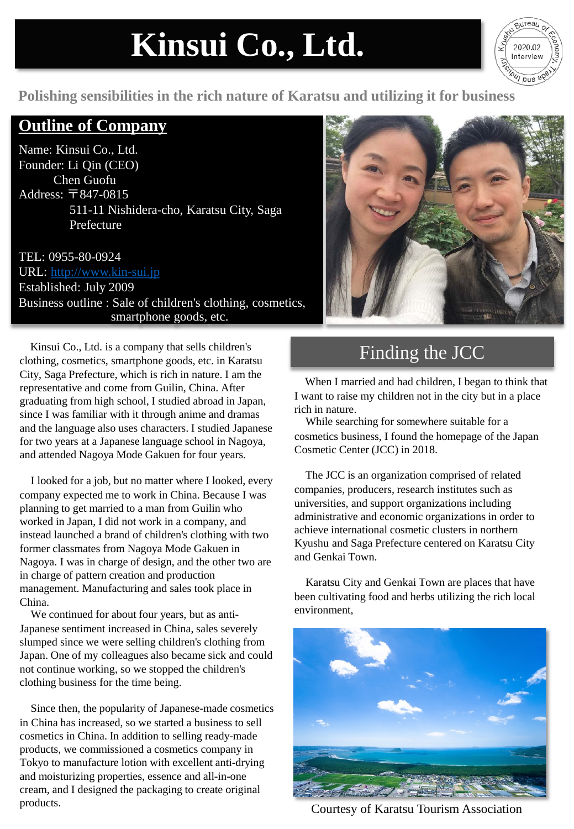# **Kinsui Co., Ltd.**



#### **Polishing sensibilities in the rich nature of Karatsu and utilizing it for business**

#### **Outline of Company**

Name: Kinsui Co., Ltd. Founder: Li Qin (CEO) Chen Guofu Address: 〒847-0815 511-11 Nishidera-cho, Karatsu City, Saga Prefecture

TEL: 0955-80-0924 URL: http://www.kin-sui.jp Established: July 2009 Business outline : Sale of children's clothing, cosmetics, smartphone goods, etc.

Kinsui Co., Ltd. is a company that sells children's clothing, cosmetics, smartphone goods, etc. in Karatsu City, Saga Prefecture, which is rich in nature. I am the representative and come from Guilin, China. After graduating from high school, I studied abroad in Japan, since I was familiar with it through anime and dramas and the language also uses characters. I studied Japanese for two years at a Japanese language school in Nagoya, and attended Nagoya Mode Gakuen for four years.

I looked for a job, but no matter where I looked, every company expected me to work in China. Because I was planning to get married to a man from Guilin who worked in Japan, I did not work in a company, and instead launched a brand of children's clothing with two former classmates from Nagoya Mode Gakuen in Nagoya. I was in charge of design, and the other two are in charge of pattern creation and production management. Manufacturing and sales took place in China.

We continued for about four years, but as anti-Japanese sentiment increased in China, sales severely slumped since we were selling children's clothing from Japan. One of my colleagues also became sick and could not continue working, so we stopped the children's clothing business for the time being.

Since then, the popularity of Japanese-made cosmetics in China has increased, so we started a business to sell cosmetics in China. In addition to selling ready-made products, we commissioned a cosmetics company in Tokyo to manufacture lotion with excellent anti-drying and moisturizing properties, essence and all-in-one cream, and I designed the packaging to create original products.



## Finding the JCC

When I married and had children, I began to think that I want to raise my children not in the city but in a place rich in nature.

While searching for somewhere suitable for a cosmetics business, I found the homepage of the Japan Cosmetic Center (JCC) in 2018.

The JCC is an organization comprised of related companies, producers, research institutes such as universities, and support organizations including administrative and economic organizations in order to achieve international cosmetic clusters in northern Kyushu and Saga Prefecture centered on Karatsu City and Genkai Town.

Karatsu City and Genkai Town are places that have been cultivating food and herbs utilizing the rich local environment,



Courtesy of Karatsu Tourism Association